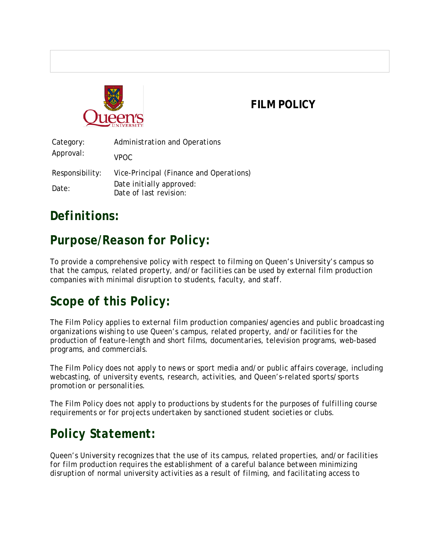

### **FILM POLICY**

Category: *Administration and Operations* Approval: *VPOC* Responsibility: *Vice-Principal (Finance and Operations)* Date: *Date initially approved: Date of last revision:*

### *Definitions:*

## *Purpose/Reason for Policy:*

*To provide a comprehensive policy with respect to filming on Queen's University's campus so that the campus, related property, and/or facilities can be used by external film production companies with minimal disruption to students, faculty, and staff.*

## *Scope of this Policy:*

*The Film Policy applies to external film production companies/agencies and public broadcasting organizations wishing to use Queen's campus, related property, and/or facilities for the production of feature-length and short films, documentaries, television programs, web-based programs, and commercials.*

*The Film Policy does not apply to news or sport media and/or public affairs coverage, including webcasting, of university events, research, activities, and Queen's-related sports/sports promotion or personalities.*

*The Film Policy does not apply to productions by students for the purposes of fulfilling course requirements or for projects undertaken by sanctioned student societies or clubs.*

# *Policy Statement:*

*Queen's University recognizes that the use of its campus, related properties, and/or facilities for film production requires the establishment of a careful balance between minimizing disruption of normal university activities as a result of filming, and facilitating access to*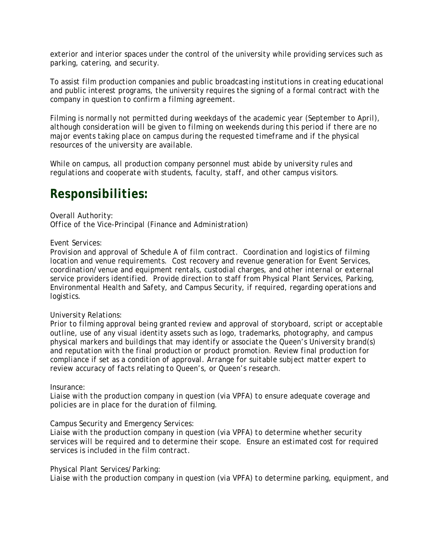*exterior and interior spaces under the control of the university while providing services such as parking, catering, and security.*

*To assist film production companies and public broadcasting institutions in creating educational and public interest programs, the university requires the signing of a formal contract with the company in question to confirm a filming agreement.*

*Filming is normally not permitted during weekdays of the academic year (September to April), although consideration will be given to filming on weekends during this period if there are no major events taking place on campus during the requested timeframe and if the physical resources of the university are available.*

*While on campus, all production company personnel must abide by university rules and regulations and cooperate with students, faculty, staff, and other campus visitors.*

### *Responsibilities:*

*Overall Authority: Office of the Vice-Principal (Finance and Administration)*

#### *Event Services:*

*Provision and approval of Schedule A of film contract. Coordination and logistics of filming location and venue requirements. Cost recovery and revenue generation for Event Services, coordination/venue and equipment rentals, custodial charges, and other internal or external service providers identified. Provide direction to staff from Physical Plant Services, Parking, Environmental Health and Safety, and Campus Security, if required, regarding operations and logistics.*

#### *University Relations:*

*Prior to filming approval being granted review and approval of storyboard, script or acceptable outline, use of any visual identity assets such as logo, trademarks, photography, and campus physical markers and buildings that may identify or associate the Queen's University brand(s) and reputation with the final production or product promotion. Review final production for compliance if set as a condition of approval. Arrange for suitable subject matter expert to review accuracy of facts relating to Queen's, or Queen's research.*

#### *Insurance:*

*Liaise with the production company in question (via VPFA) to ensure adequate coverage and policies are in place for the duration of filming.*

#### *Campus Security and Emergency Services:*

*Liaise with the production company in question (via VPFA) to determine whether security services will be required and to determine their scope. Ensure an estimated cost for required services is included in the film contract.*

#### *Physical Plant Services/Parking:*

*Liaise with the production company in question (via VPFA) to determine parking, equipment, and*